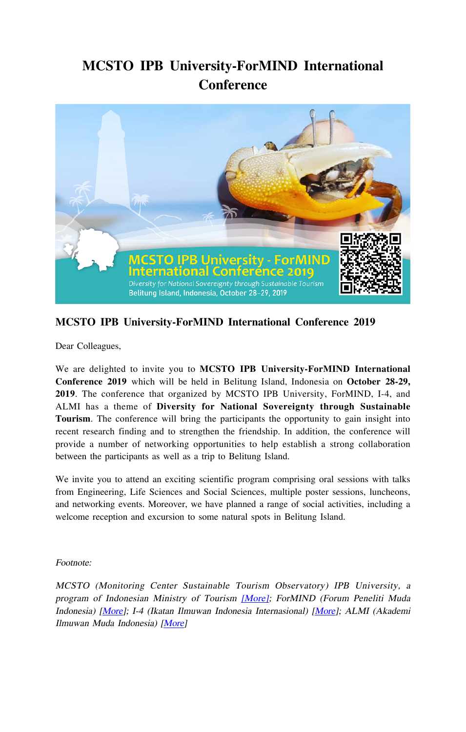# **MCSTO IPB University-ForMIND International Conference**



## **MCSTO IPB University-ForMIND International Conference 2019**

Dear Colleagues,

We are delighted to invite you to **MCSTO IPB University-ForMIND International Conference 2019** which will be held in Belitung Island, Indonesia on **October 28-29, 2019**. The conference that organized by MCSTO IPB University, ForMIND, I-4, and ALMI has a theme of **Diversity for National Sovereignty through Sustainable Tourism**. The conference will bring the participants the opportunity to gain insight into recent research finding and to strengthen the friendship. In addition, the conference will provide a number of networking opportunities to help establish a strong collaboration between the participants as well as a trip to Belitung Island.

We invite you to attend an exciting scientific program comprising oral sessions with talks from Engineering, Life Sciences and Social Sciences, multiple poster sessions, luncheons, and networking events. Moreover, we have planned a range of social activities, including a welcome reception and excursion to some natural spots in Belitung Island.

Footnote:

MCSTO (Monitoring Center Sustainable Tourism Observatory) IPB University, a program of Indonesian Ministry of Tourism [\[More\];](https://biologi.ipb.ac.id/web/en/info/mcsto) ForMIND (Forum Peneliti Muda Indonesia) [[More\]](https://formind-institute.id/wp/about/); I-4 (Ikatan Ilmuwan Indonesia Internasional) [\[More](https://i4indonesia.org)]; ALMI (Akademi Ilmuwan Muda Indonesia) [\[More\]](https://almi.or.id/)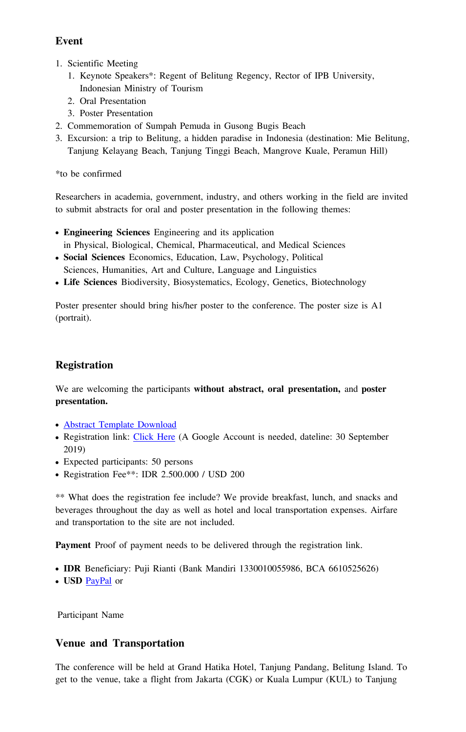#### **Event**

- 1. Scientific Meeting
	- 1. Keynote Speakers\*: Regent of Belitung Regency, Rector of IPB University, Indonesian Ministry of Tourism
	- 2. Oral Presentation
	- 3. Poster Presentation
- 2. Commemoration of Sumpah Pemuda in Gusong Bugis Beach
- 3. Excursion: a trip to Belitung, a hidden paradise in Indonesia (destination: Mie Belitung, Tanjung Kelayang Beach, Tanjung Tinggi Beach, Mangrove Kuale, Peramun Hill)

\*to be confirmed

Researchers in academia, government, industry, and others working in the field are invited to submit abstracts for oral and poster presentation in the following themes:

- **Engineering Sciences** Engineering and its application in Physical, Biological, Chemical, Pharmaceutical, and Medical Sciences
- **Social Sciences** Economics, Education, Law, Psychology, Political Sciences, Humanities, Art and Culture, Language and Linguistics
- **Life Sciences** Biodiversity, Biosystematics, Ecology, Genetics, Biotechnology

Poster presenter should bring his/her poster to the conference. The poster size is A1 (portrait).

## **Registration**

We are welcoming the participants **without abstract, oral presentation,** and **poster presentation.** 

- [Abstract Template Download](https://drive.google.com/open?id=1Oo9phW5ygDiW6VaYwNzGijxdwfFd9Pml)
- Registration link: [Click Here](https://docs.google.com/forms/d/e/1FAIpQLSecfjp1mfeapGJ-pK4uLje7sgorSSRCC1GAyxxS7snLyeB1kQ/viewform?usp=sf_link) (A Google Account is needed, dateline: 30 September 2019)
- Expected participants: 50 persons
- Registration Fee\*\*: IDR 2.500.000 / USD 200

\*\* What does the registration fee include? We provide breakfast, lunch, and snacks and beverages throughout the day as well as hotel and local transportation expenses. Airfare and transportation to the site are not included.

**Payment** Proof of payment needs to be delivered through the registration link.

- **IDR** Beneficiary: Puji Rianti (Bank Mandiri 1330010055986, BCA 6610525626)
- **USD** [PayPal](https://www.paypal.com/paypalme2/bioipb?locale.x=en_US) or

Participant Name

#### **Venue and Transportation**

The conference will be held at Grand Hatika Hotel, Tanjung Pandang, Belitung Island. To get to the venue, take a flight from Jakarta (CGK) or Kuala Lumpur (KUL) to Tanjung